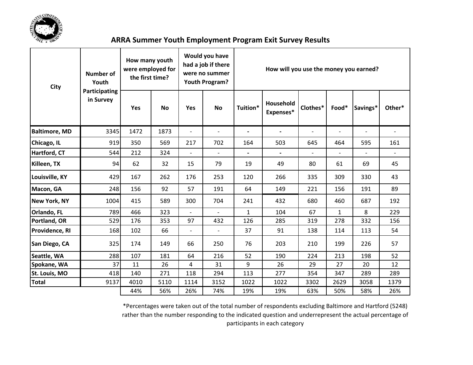

| <b>City</b>          | <b>Number of</b><br>Youth      | How many youth<br>were employed for<br>the first time? |           |                          | Would you have<br>had a job if there<br>were no summer<br>Youth Program? | How will you use the money you earned? |                          |                |                          |                          |                |  |  |  |
|----------------------|--------------------------------|--------------------------------------------------------|-----------|--------------------------|--------------------------------------------------------------------------|----------------------------------------|--------------------------|----------------|--------------------------|--------------------------|----------------|--|--|--|
|                      | Participating<br>in Survey     | <b>Yes</b>                                             | <b>No</b> | Yes                      | No                                                                       | Tuition*                               | Household<br>Expenses*   | Clothes*       | Food*                    | Savings*                 | Other*         |  |  |  |
| <b>Baltimore, MD</b> | 3345                           | 1472                                                   | 1873      | $\overline{\phantom{a}}$ | $\blacksquare$                                                           | $\overline{\phantom{a}}$               | $\overline{\phantom{a}}$ | $\overline{a}$ | $\overline{\phantom{a}}$ | $\overline{\phantom{a}}$ | $\overline{a}$ |  |  |  |
| Chicago, IL          | 919                            | 350                                                    | 569       | 217                      | 702                                                                      | 164                                    | 503                      |                | 464                      | 595                      | 161            |  |  |  |
| Hartford, CT         | 544                            | 212                                                    | 324       | $\overline{\phantom{a}}$ | $\overline{\phantom{a}}$                                                 | $\blacksquare$                         | $\blacksquare$           | $\mathbf{r}$   | $\blacksquare$           |                          | $\overline{a}$ |  |  |  |
| Killeen, TX          | 94                             | 62                                                     | 32        | 15                       | 79                                                                       | 19                                     | 49                       | 80             | 61                       | 69                       | 45             |  |  |  |
| Louisville, KY       | 429                            | 167                                                    | 262       | 176                      | 253                                                                      | 120                                    | 266                      | 335            | 309                      | 330                      | 43             |  |  |  |
| Macon, GA            | 248                            | 156                                                    | 92        | 57                       | 191                                                                      | 64                                     | 149                      | 221            | 156                      | 191                      | 89             |  |  |  |
| <b>New York, NY</b>  | 1004                           | 415                                                    | 589       | 300                      | 704                                                                      | 241                                    | 432                      | 680            | 460                      | 687                      | 192            |  |  |  |
| Orlando, FL          | 789                            | 466                                                    | 323       | $\overline{a}$           | $\overline{a}$                                                           | $\mathbf{1}$                           | 104                      | 67             | $\mathbf{1}$             | 8                        | 229            |  |  |  |
| Portland, OR         | 529                            | 176                                                    | 353       | 97                       | 432                                                                      | 126                                    | 285                      | 319            | 278                      | 332                      | 156            |  |  |  |
| Providence, RI       | 168                            | 102                                                    | 66        | $\overline{\phantom{a}}$ | $\overline{\phantom{a}}$                                                 | 37                                     | 91                       | 138            | 114                      | 113                      | 54             |  |  |  |
| San Diego, CA        | 325                            | 174                                                    | 149       | 66                       | 250                                                                      | 76                                     | 203                      | 210            | 199                      | 226                      | 57             |  |  |  |
| Seattle, WA          | 288<br>107<br>64<br>216<br>181 |                                                        |           | 52                       | 190                                                                      | 224                                    | 213                      | 198            | 52                       |                          |                |  |  |  |
| Spokane, WA          | 37                             | 11                                                     | 26        | 4                        | 31                                                                       | 9                                      | 26                       | 29             | 27                       | 20                       | 12             |  |  |  |
| St. Louis, MO        | 418                            | 140                                                    | 271       | 118                      | 294                                                                      | 113                                    | 277                      | 354            | 347                      | 289                      | 289            |  |  |  |
| <b>Total</b>         | 9137                           | 4010                                                   | 5110      | 1114                     | 3152                                                                     | 1022                                   | 1022                     | 3302           | 2629                     | 3058                     | 1379           |  |  |  |
|                      |                                | 44%                                                    | 56%       | 26%                      | 74%                                                                      | 19%                                    | 19%                      | 63%            | 50%                      | 58%                      | 26%            |  |  |  |

\*Percentages were taken out of the total number of respondents excluding Baltimore and Hartford (5248) rather than the number responding to the indicated question and underrepresent the actual percentage of participants in each category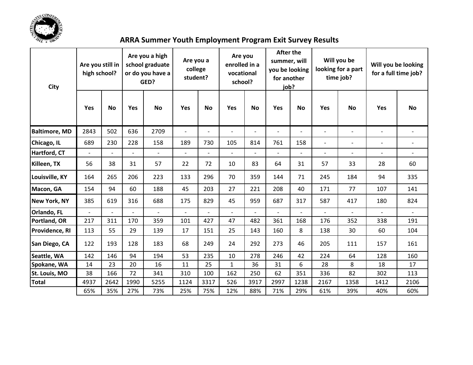

| City                 | Are you still in<br>high school? |                          | Are you a high<br>school graduate<br>or do you have a<br>GED? |                          | Are you a<br>college<br>student? |                | Are you<br>enrolled in a<br>vocational<br>school? |                          | <b>After the</b><br>summer, will<br>you be looking<br>for another<br>job? |                          |                | Will you be<br>looking for a part<br>time job? | Will you be looking<br>for a full time job? |                          |  |
|----------------------|----------------------------------|--------------------------|---------------------------------------------------------------|--------------------------|----------------------------------|----------------|---------------------------------------------------|--------------------------|---------------------------------------------------------------------------|--------------------------|----------------|------------------------------------------------|---------------------------------------------|--------------------------|--|
|                      | Yes                              | <b>No</b>                | Yes                                                           | <b>No</b>                | <b>Yes</b>                       | <b>No</b>      | Yes                                               | <b>No</b>                | <b>Yes</b>                                                                | <b>No</b>                | Yes            | <b>No</b>                                      | Yes                                         | <b>No</b>                |  |
| <b>Baltimore, MD</b> | 2843                             | 502                      | 636                                                           | 2709                     | $\overline{\phantom{a}}$         | $\overline{a}$ | $\overline{\phantom{a}}$                          | $\overline{\phantom{a}}$ | $\blacksquare$                                                            | $\overline{\phantom{0}}$ | $\overline{a}$ | $\overline{\phantom{a}}$                       | $\overline{\phantom{a}}$                    | $\overline{\phantom{a}}$ |  |
| Chicago, IL          | 689                              | 230                      | 228                                                           | 158                      | 189                              | 730            | 105                                               | 814                      | 761                                                                       | 158                      | $\overline{a}$ | $\overline{\phantom{a}}$                       | $\overline{\phantom{a}}$                    |                          |  |
| Hartford, CT         | $\blacksquare$                   | $\blacksquare$           | $\overline{a}$                                                | $\overline{\phantom{a}}$ | $\overline{\phantom{a}}$         | $\overline{a}$ | $\blacksquare$                                    | $\overline{a}$           | $\overline{a}$                                                            | $\overline{a}$           | $\overline{a}$ | $\overline{\phantom{a}}$                       | $\overline{\phantom{a}}$                    |                          |  |
| Killeen, TX          | 56                               | 38                       | 31                                                            | 57                       | 22                               | 72             | 10                                                | 83                       | 64                                                                        | 31                       | 57             | 33                                             | 28                                          | 60                       |  |
| Louisville, KY       | 164                              | 265                      | 206                                                           | 223                      | 133                              | 296            | 70                                                | 359                      | 144                                                                       | 71                       | 245            | 184                                            | 94                                          | 335                      |  |
| Macon, GA            | 154                              | 94                       | 60                                                            | 188                      | 45                               | 203            | 27                                                | 221                      | 208                                                                       | 40                       | 171            | 77                                             | 107                                         | 141                      |  |
| <b>New York, NY</b>  | 385                              | 619                      | 316                                                           | 688                      | 175                              | 829            | 45                                                | 959                      | 687                                                                       | 317                      | 587            | 417                                            | 180                                         | 824                      |  |
| Orlando, FL          | $\overline{a}$                   | $\overline{\phantom{a}}$ | $\overline{a}$                                                | $\overline{a}$           | $\overline{a}$                   | $\overline{a}$ | $\overline{a}$                                    |                          | $\overline{a}$                                                            | $\overline{a}$           | $\overline{a}$ | $\overline{a}$                                 | $\overline{a}$                              |                          |  |
| Portland, OR         | 217                              | 311                      | 170                                                           | 359                      | 101                              | 427            | 47                                                | 482                      | 361                                                                       | 168                      | 176            | 352                                            | 338                                         | 191                      |  |
| Providence, RI       | 113                              | 55                       | 29                                                            | 139                      | 17                               | 151            | 25                                                | 143                      | 160                                                                       | 8                        | 138            | 30                                             | 60                                          | 104                      |  |
| San Diego, CA        | 122                              | 193                      | 128                                                           | 183                      | 68                               | 249            | 24                                                | 292                      | 273                                                                       | 46                       | 205            | 111                                            | 157                                         | 161                      |  |
| Seattle, WA          | 142                              | 146                      | 94                                                            | 194                      | 53                               | 235            | 10                                                | 278                      | 246                                                                       | 42                       | 224            | 64                                             | 128                                         | 160                      |  |
| Spokane, WA          | 14                               | 23                       | 20                                                            | 16                       | 11                               | 25             | $\mathbf{1}$                                      | 36                       | 31                                                                        | 6                        | 28             | 8                                              | 18                                          | 17                       |  |
| St. Louis, MO        | 38                               | 166                      | 72                                                            | 341                      | 310                              | 100            | 162                                               | 250                      | 62                                                                        | 351                      | 336            | 82                                             | 302                                         | 113                      |  |
| <b>Total</b>         | 4937                             | 2642                     | 1990                                                          | 5255                     | 1124                             | 3317           | 526                                               | 3917                     | 2997                                                                      | 1238                     | 2167           | 1358                                           | 1412                                        | 2106                     |  |
|                      | 65%                              | 35%                      | 27%                                                           | 73%                      | 25%                              | 75%            | 12%                                               | 88%                      | 71%                                                                       | 29%                      | 61%            | 39%                                            | 40%                                         | 60%                      |  |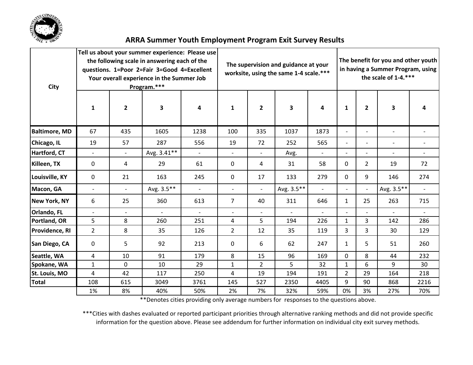

| <b>City</b>          | $\mathbf{1}$   | $\mathbf{2}$   | Tell us about your summer experience: Please use<br>the following scale in answering each of the<br>questions. 1=Poor 2=Fair 3=Good 4=Excellent<br>Your overall experience in the Summer Job<br>Program.***<br>3 | 4                        | $\mathbf{1}$             | $\mathbf{2}$             | The supervision and guidance at your<br>worksite, using the same 1-4 scale.***<br>3 | The benefit for you and other youth<br>in having a Summer Program, using<br>the scale of 1-4.***<br>$\mathbf{2}$<br>3<br>1 |                                                      |                          |                          |                          |  |
|----------------------|----------------|----------------|------------------------------------------------------------------------------------------------------------------------------------------------------------------------------------------------------------------|--------------------------|--------------------------|--------------------------|-------------------------------------------------------------------------------------|----------------------------------------------------------------------------------------------------------------------------|------------------------------------------------------|--------------------------|--------------------------|--------------------------|--|
| <b>Baltimore, MD</b> | 67             | 435            | 1605                                                                                                                                                                                                             | 1238                     | 100                      | 335                      | 1037                                                                                | 1873                                                                                                                       | $\overline{\phantom{a}}$                             | $\overline{\phantom{a}}$ | $\overline{\phantom{a}}$ | $\overline{\phantom{a}}$ |  |
|                      |                |                |                                                                                                                                                                                                                  |                          |                          |                          |                                                                                     |                                                                                                                            |                                                      |                          |                          |                          |  |
| Chicago, IL          | 19             | 57             | 287                                                                                                                                                                                                              | 556                      | 19                       | 72                       | 252                                                                                 | 565                                                                                                                        | $\overline{\phantom{a}}$<br>$\overline{\phantom{0}}$ |                          | $\overline{\phantom{a}}$ | $\overline{\phantom{0}}$ |  |
| Hartford, CT         | $\blacksquare$ | $\blacksquare$ | Avg. 3.41**                                                                                                                                                                                                      | $\overline{\phantom{0}}$ | $\blacksquare$           | $\overline{\phantom{0}}$ | Avg.                                                                                | $\overline{\phantom{a}}$                                                                                                   |                                                      | $\overline{a}$           | $\blacksquare$           | $\overline{\phantom{0}}$ |  |
| Killeen, TX          | 0              | 4              | 29                                                                                                                                                                                                               | 61                       | 0                        | 4                        | 31                                                                                  | 58                                                                                                                         | $\Omega$                                             | 2                        | 19                       | 72                       |  |
| Louisville, KY       | $\mathbf 0$    | 21             | 163                                                                                                                                                                                                              | 245                      | 0                        | 17                       | 133                                                                                 | 279                                                                                                                        | 9<br>$\Omega$                                        |                          | 146                      | 274                      |  |
| Macon, GA            | $\blacksquare$ | $\blacksquare$ | Avg. 3.5**                                                                                                                                                                                                       | $\mathbf{r}$             | $\overline{\phantom{a}}$ | $\mathbf{r}$             | Avg. 3.5**                                                                          | $\blacksquare$                                                                                                             |                                                      | $\overline{a}$           | Avg. 3.5**               | $\blacksquare$           |  |
| <b>New York, NY</b>  | 6              | 25             | 360                                                                                                                                                                                                              | 613                      | $\overline{7}$           | 40                       | 311                                                                                 | 646                                                                                                                        | $\mathbf{1}$                                         | 25                       | 263                      | 715                      |  |
| Orlando, FL          | $\blacksquare$ | $\overline{a}$ | $\overline{a}$                                                                                                                                                                                                   | $\overline{a}$           | $\overline{\phantom{a}}$ | $\overline{\phantom{0}}$ | $\blacksquare$                                                                      |                                                                                                                            |                                                      |                          |                          |                          |  |
| Portland, OR         | 5              | 8              | 260                                                                                                                                                                                                              | 251                      | 4                        | 5                        | 194                                                                                 | 226                                                                                                                        | $\mathbf{1}$                                         | 3                        | 142                      | 286                      |  |
| Providence, RI       | $\overline{2}$ | 8              | 35                                                                                                                                                                                                               | 126                      | $\overline{2}$           | 12                       | 35                                                                                  | 119                                                                                                                        | 3                                                    | 3                        | 30                       | 129                      |  |
| San Diego, CA        | 0              | 5              | 92                                                                                                                                                                                                               | 213                      | $\Omega$                 | 6                        | 62                                                                                  | 247                                                                                                                        | $\mathbf{1}$                                         | 5                        | 51                       | 260                      |  |
| Seattle, WA          | 4              | 10             | 91                                                                                                                                                                                                               | 179                      | 8                        | 15                       | 96                                                                                  | 169                                                                                                                        | $\mathbf 0$                                          | 8                        | 44                       | 232                      |  |
| Spokane, WA          | $\mathbf{1}$   | 0              | 10                                                                                                                                                                                                               | 29                       | $\mathbf{1}$             | $\overline{2}$           | 5                                                                                   | 32                                                                                                                         | $\mathbf{1}$                                         | 6                        | 9                        | 30                       |  |
| St. Louis, MO        | 4              | 42             | 117                                                                                                                                                                                                              | 250                      | 4                        | 19                       | 194                                                                                 | 191                                                                                                                        | $\overline{2}$                                       | 29                       | 164                      | 218                      |  |
| <b>Total</b>         | 108            | 615            | 3049                                                                                                                                                                                                             | 3761                     | 145                      | 527                      | 2350                                                                                | 4405                                                                                                                       | 9                                                    | 90                       | 868                      | 2216                     |  |
|                      | 1%             | 8%             | 40%                                                                                                                                                                                                              | 50%                      | 2%                       | 7%                       | 32%                                                                                 | 59%                                                                                                                        | 0%                                                   | 3%                       | 27%                      | 70%                      |  |

\*\*Denotes cities providing only average numbers for responses to the questions above.

\*\*\*Cities with dashes evaluated or reported participant priorities through alternative ranking methods and did not provide specific information for the question above. Please see addendum for further information on individual city exit survey methods.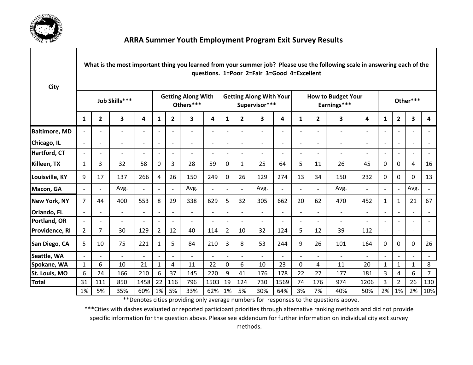

| City                 |                          |                          |                          |                          |                          |                                        |                          |                          |                          |                                                 | questions. 1=Poor 2=Fair 3=Good 4=Excellent |                          |                          |                                          | What is the most important thing you learned from your summer job? Please use the following scale in answering each of the |                          |                          |                          |                          |                          |  |  |
|----------------------|--------------------------|--------------------------|--------------------------|--------------------------|--------------------------|----------------------------------------|--------------------------|--------------------------|--------------------------|-------------------------------------------------|---------------------------------------------|--------------------------|--------------------------|------------------------------------------|----------------------------------------------------------------------------------------------------------------------------|--------------------------|--------------------------|--------------------------|--------------------------|--------------------------|--|--|
|                      | Job Skills***            |                          |                          |                          |                          | <b>Getting Along With</b><br>Others*** |                          |                          |                          | <b>Getting Along With Your</b><br>Supervisor*** |                                             |                          |                          | <b>How to Budget Your</b><br>Earnings*** |                                                                                                                            |                          |                          |                          | Other***                 |                          |  |  |
|                      | 1                        | $\mathbf{2}$             | 3                        | 4                        | 1                        | $\overline{2}$                         | 3                        | 4                        | $\mathbf{1}$             | $\mathbf{2}$                                    | 3                                           | 4                        | 1                        | $\mathbf{2}$                             | 3                                                                                                                          | 4                        | $\mathbf{1}$             | $\overline{2}$           | 3                        | 4                        |  |  |
| <b>Baltimore, MD</b> | $\overline{\phantom{a}}$ | $\overline{\phantom{0}}$ | $\overline{\phantom{0}}$ | $\overline{\phantom{0}}$ | $\overline{\phantom{a}}$ | $\overline{\phantom{a}}$               | $\overline{\phantom{a}}$ | $\overline{\phantom{a}}$ | $\overline{\phantom{a}}$ | $\overline{\phantom{0}}$                        | $\overline{\phantom{a}}$                    | $\overline{\phantom{a}}$ | $\overline{\phantom{a}}$ | $\overline{\phantom{0}}$                 | $\overline{a}$                                                                                                             | $\overline{\phantom{0}}$ | $\overline{\phantom{a}}$ | $\overline{\phantom{0}}$ | $\overline{\phantom{a}}$ | $\overline{\phantom{a}}$ |  |  |
| Chicago, IL          |                          | $\overline{\phantom{0}}$ | $\overline{\phantom{0}}$ | $\overline{\phantom{0}}$ | $\overline{\phantom{0}}$ | $\overline{\phantom{a}}$               | $\overline{\phantom{0}}$ | $\blacksquare$           | $\blacksquare$           | $\overline{a}$                                  | $\overline{\phantom{a}}$                    | $\overline{\phantom{0}}$ | $\overline{\phantom{a}}$ | $\overline{\phantom{0}}$                 | $\overline{a}$                                                                                                             | $\overline{\phantom{0}}$ | $\overline{\phantom{a}}$ | $\overline{\phantom{0}}$ | $\overline{a}$           | $\overline{\phantom{a}}$ |  |  |
| Hartford, CT         | $\blacksquare$           | $\overline{\phantom{a}}$ | $\overline{\phantom{a}}$ | $\overline{\phantom{a}}$ | $\overline{\phantom{a}}$ | $\blacksquare$                         | $\overline{a}$           | $\blacksquare$           | $\blacksquare$           | $\overline{\phantom{0}}$                        | $\blacksquare$                              | $\overline{\phantom{a}}$ | $\overline{\phantom{a}}$ | $\overline{a}$                           | $\overline{\phantom{a}}$                                                                                                   | $\overline{\phantom{0}}$ | $\blacksquare$           | $\overline{a}$           | $\overline{a}$           | $\blacksquare$           |  |  |
| Killeen, TX          | 1                        | 3                        | 32                       | 58                       | 0                        | 3                                      | 28                       | 59                       | 0                        | $\mathbf{1}$                                    | 25                                          | 64                       | 5                        | 11                                       | 26                                                                                                                         | 45                       | $\Omega$                 | 0                        | 4                        | 16                       |  |  |
| Louisville, KY       | 9                        | 17                       | 137                      | 266                      | 4                        | 26                                     | 150                      | 249                      | 0                        | 26                                              | 129                                         | 274                      | 13                       | 34                                       | 150                                                                                                                        | 232                      | 0                        | 0                        | $\Omega$                 | 13                       |  |  |
| Macon, GA            |                          |                          | Avg.                     |                          |                          | $\blacksquare$                         | Avg.                     | $\overline{a}$           | $\blacksquare$           |                                                 | Avg.                                        | $\blacksquare$           |                          |                                          | Avg.                                                                                                                       | $\overline{a}$           | $\blacksquare$           |                          | Avg.                     | $\overline{a}$           |  |  |
| New York, NY         | 7                        | 44                       | 400                      | 553                      | 8                        | 29                                     | 338                      | 629                      | 5                        | 32                                              | 305                                         | 662                      | 20                       | 62                                       | 470                                                                                                                        | 452                      | 1                        | 1                        | 21                       | 67                       |  |  |
| Orlando, FL          |                          | $\overline{\phantom{0}}$ | $\overline{\phantom{a}}$ | $\overline{a}$           |                          | $\blacksquare$                         | $\overline{a}$           | $\overline{\phantom{a}}$ | $\overline{\phantom{a}}$ | $\overline{a}$                                  | $\overline{\phantom{a}}$                    | $\overline{\phantom{a}}$ | $\overline{\phantom{0}}$ | $\overline{\phantom{a}}$                 | $\overline{\phantom{a}}$                                                                                                   | $\overline{\phantom{a}}$ | $\overline{\phantom{a}}$ |                          | $\blacksquare$           | $\overline{\phantom{a}}$ |  |  |
| Portland, OR         | $\overline{a}$           | $\blacksquare$           | $\overline{\phantom{a}}$ | $\overline{a}$           |                          | $\blacksquare$                         | $\overline{a}$           |                          | $\blacksquare$           | $\overline{a}$                                  | $\overline{a}$                              | $\overline{a}$           | $\overline{a}$           | $\overline{a}$                           | $\overline{a}$                                                                                                             | $\overline{a}$           | $\blacksquare$           |                          | $\overline{a}$           | $\blacksquare$           |  |  |
| Providence, RI       | $\overline{2}$           | $\overline{7}$           | 30                       | 129                      | $\overline{2}$           | 12                                     | 40                       | 114                      | $\overline{2}$           | 10                                              | 32                                          | 124                      | 5                        | 12                                       | 39                                                                                                                         | 112                      | $\overline{\phantom{a}}$ | $\qquad \qquad -$        | $\overline{\phantom{a}}$ | $\overline{\phantom{a}}$ |  |  |
| San Diego, CA        | 5                        | 10                       | 75                       | 221                      | 1                        | 5                                      | 84                       | 210                      | 3                        | 8                                               | 53                                          | 244                      | 9                        | 26                                       | 101                                                                                                                        | 164                      | $\mathbf 0$              | 0                        | $\Omega$                 | 26                       |  |  |
| Seattle, WA          |                          |                          | $\blacksquare$           | $\overline{\phantom{a}}$ |                          | $\overline{\phantom{a}}$               | $\overline{\phantom{a}}$ | $\overline{\phantom{a}}$ | $\frac{1}{2}$            | $\overline{\phantom{0}}$                        | $\overline{a}$                              | $\blacksquare$           |                          |                                          | $\blacksquare$                                                                                                             | $\overline{\phantom{0}}$ | $\overline{\phantom{a}}$ |                          | $\overline{a}$           | $\overline{\phantom{a}}$ |  |  |
| Spokane, WA          | $\mathbf{1}$             | 6                        | 10                       | 21                       | $\mathbf{1}$             | 4                                      | 11                       | 22                       | 0                        | 6                                               | 10                                          | 23                       | 0                        | 4                                        | 11                                                                                                                         | 20                       | 1                        | 1                        | 1                        | 8                        |  |  |
| St. Louis, MO        | 6                        | 24                       | 166                      | 210                      | 6                        | 37                                     | 145                      | 220                      | 9                        | 41                                              | 176                                         | 178                      | 22                       | 27                                       | 177                                                                                                                        | 181                      | 3                        | 4                        | 6                        | $\overline{7}$           |  |  |
| <b>Total</b>         | 31                       | 111                      | 850                      | 1458                     | 22                       | 116                                    | 796                      | 1503                     | 19                       | 124                                             | 730                                         | 1569                     | 74                       | 176                                      | 974                                                                                                                        | 1206                     | 3                        | 2                        | 26                       | 130                      |  |  |
|                      | 1%                       | 5%                       | 35%                      | 60%                      | $1\%$                    | 5%                                     | 33%                      | 62%                      | 1%                       | 5%                                              | 30%                                         | 64%                      | 3%                       | 7%                                       | 40%                                                                                                                        | 50%                      | 2%                       | 1%                       | 2%                       | 10%                      |  |  |

\*\*Denotes cities providing only average numbers for responses to the questions above.

\*\*\*Cities with dashes evaluated or reported participant priorities through alternative ranking methods and did not provide specific information for the question above. Please see addendum for further information on individual city exit survey methods.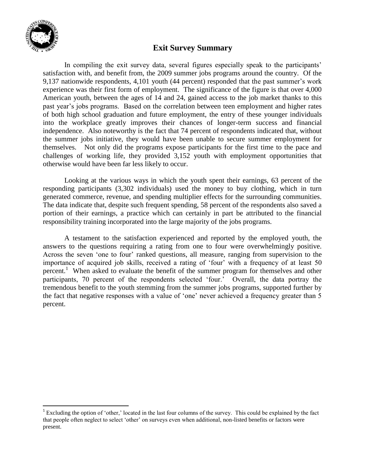

 $\overline{\phantom{a}}$ 

### **Exit Survey Summary**

In compiling the exit survey data, several figures especially speak to the participants' satisfaction with, and benefit from, the 2009 summer jobs programs around the country. Of the 9,137 nationwide respondents, 4,101 youth (44 percent) responded that the past summer's work experience was their first form of employment. The significance of the figure is that over 4,000 American youth, between the ages of 14 and 24, gained access to the job market thanks to this past year's jobs programs. Based on the correlation between teen employment and higher rates of both high school graduation and future employment, the entry of these younger individuals into the workplace greatly improves their chances of longer-term success and financial independence. Also noteworthy is the fact that 74 percent of respondents indicated that, without the summer jobs initiative, they would have been unable to secure summer employment for themselves. Not only did the programs expose participants for the first time to the pace and challenges of working life, they provided 3,152 youth with employment opportunities that otherwise would have been far less likely to occur.

Looking at the various ways in which the youth spent their earnings, 63 percent of the responding participants (3,302 individuals) used the money to buy clothing, which in turn generated commerce, revenue, and spending multiplier effects for the surrounding communities. The data indicate that, despite such frequent spending, 58 percent of the respondents also saved a portion of their earnings, a practice which can certainly in part be attributed to the financial responsibility training incorporated into the large majority of the jobs programs.

A testament to the satisfaction experienced and reported by the employed youth, the answers to the questions requiring a rating from one to four were overwhelmingly positive. Across the seven 'one to four' ranked questions, all measure, ranging from supervision to the importance of acquired job skills, received a rating of 'four' with a frequency of at least 50 percent.<sup>1</sup> When asked to evaluate the benefit of the summer program for themselves and other participants, 70 percent of the respondents selected 'four.' Overall, the data portray the tremendous benefit to the youth stemming from the summer jobs programs, supported further by the fact that negative responses with a value of 'one' never achieved a frequency greater than 5 percent.

<sup>&</sup>lt;sup>1</sup> Excluding the option of 'other,' located in the last four columns of the survey. This could be explained by the fact that people often neglect to select 'other' on surveys even when additional, non-listed benefits or factors were present.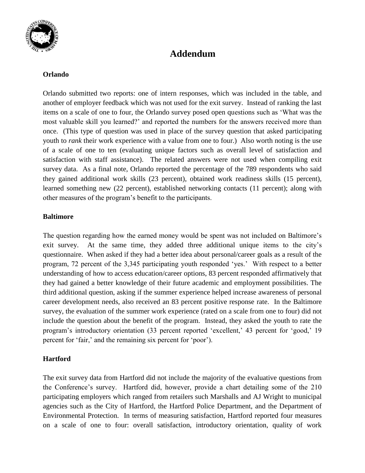

## **Addendum**

#### **Orlando**

Orlando submitted two reports: one of intern responses, which was included in the table, and another of employer feedback which was not used for the exit survey. Instead of ranking the last items on a scale of one to four, the Orlando survey posed open questions such as 'What was the most valuable skill you learned?' and reported the numbers for the answers received more than once. (This type of question was used in place of the survey question that asked participating youth to *rank* their work experience with a value from one to four.) Also worth noting is the use of a scale of one to ten (evaluating unique factors such as overall level of satisfaction and satisfaction with staff assistance). The related answers were not used when compiling exit survey data. As a final note, Orlando reported the percentage of the 789 respondents who said they gained additional work skills (23 percent), obtained work readiness skills (15 percent), learned something new (22 percent), established networking contacts (11 percent); along with other measures of the program's benefit to the participants.

#### **Baltimore**

The question regarding how the earned money would be spent was not included on Baltimore's exit survey. At the same time, they added three additional unique items to the city's questionnaire. When asked if they had a better idea about personal/career goals as a result of the program, 72 percent of the 3,345 participating youth responded 'yes.' With respect to a better understanding of how to access education/career options, 83 percent responded affirmatively that they had gained a better knowledge of their future academic and employment possibilities. The third additional question, asking if the summer experience helped increase awareness of personal career development needs, also received an 83 percent positive response rate. In the Baltimore survey, the evaluation of the summer work experience (rated on a scale from one to four) did not include the question about the benefit of the program. Instead, they asked the youth to rate the program's introductory orientation (33 percent reported 'excellent,' 43 percent for 'good,' 19 percent for 'fair,' and the remaining six percent for 'poor').

#### **Hartford**

The exit survey data from Hartford did not include the majority of the evaluative questions from the Conference's survey. Hartford did, however, provide a chart detailing some of the 210 participating employers which ranged from retailers such Marshalls and AJ Wright to municipal agencies such as the City of Hartford, the Hartford Police Department, and the Department of Environmental Protection. In terms of measuring satisfaction, Hartford reported four measures on a scale of one to four: overall satisfaction, introductory orientation, quality of work